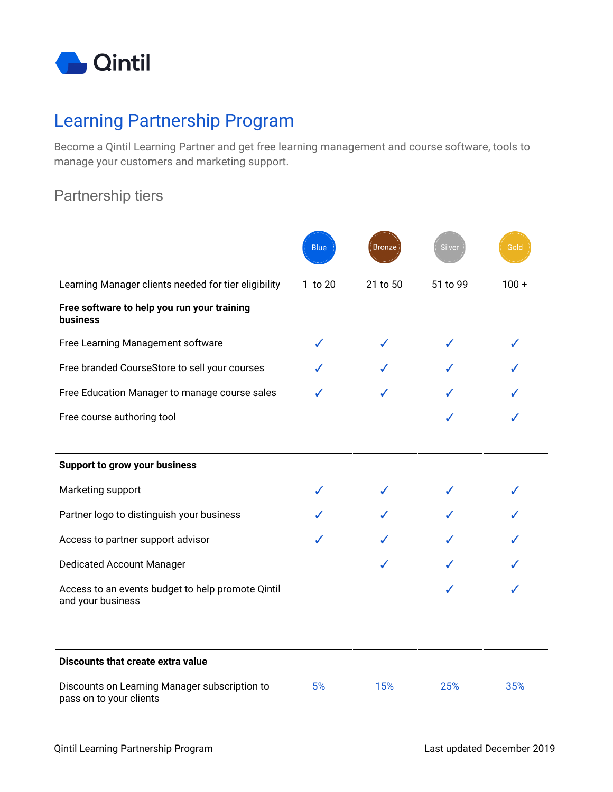

# Learning Partnership Program

Become a Qintil Learning Partner and get free learning management and course software, tools to manage your customers and marketing support.

## Partnership tiers

|                                                                          | <b>Blue</b> | <b>Bronze</b> | Silver   | Gold    |
|--------------------------------------------------------------------------|-------------|---------------|----------|---------|
| Learning Manager clients needed for tier eligibility                     | 1 to 20     | 21 to 50      | 51 to 99 | $100 +$ |
| Free software to help you run your training<br><b>business</b>           |             |               |          |         |
| Free Learning Management software                                        |             |               |          |         |
| Free branded CourseStore to sell your courses                            |             |               |          |         |
| Free Education Manager to manage course sales                            |             |               |          |         |
| Free course authoring tool                                               |             |               |          |         |
|                                                                          |             |               |          |         |
| <b>Support to grow your business</b>                                     |             |               |          |         |
| Marketing support                                                        |             |               |          |         |
| Partner logo to distinguish your business                                |             |               |          |         |
| Access to partner support advisor                                        |             |               |          |         |
| <b>Dedicated Account Manager</b>                                         |             |               |          |         |
| Access to an events budget to help promote Qintil<br>and your business   |             |               |          |         |
|                                                                          |             |               |          |         |
| Discounts that create extra value                                        |             |               |          |         |
| Discounts on Learning Manager subscription to<br>pass on to your clients | 5%          | 15%           | 25%      | 35%     |